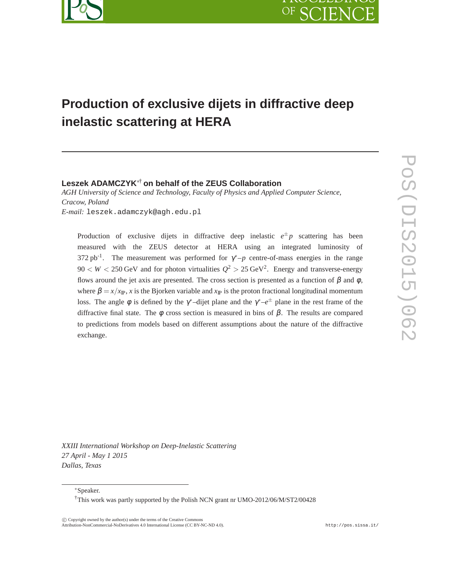

# **Production of exclusive dijets in diffractive deep inelastic scattering at HERA**

#### **Leszek ADAMCZYK**∗† **on behalf of the ZEUS Collaboration**

*AGH University of Science and Technology, Faculty of Physics and Applied Computer Science, Cracow, Poland E-mail:* leszek.adamczyk@agh.edu.pl

Production of exclusive dijets in diffractive deep inelastic  $e^{\pm}p$  scattering has been measured with the ZEUS detector at HERA using an integrated luminosity of 372 pb<sup>-1</sup>. The measurement was performed for  $\gamma^*$ -p centre-of-mass energies in the range  $90 < W < 250$  GeV and for photon virtualities  $Q^2 > 25$  GeV<sup>2</sup>. Energy and transverse-energy flows around the jet axis are presented. The cross section is presented as a function of  $\beta$  and  $\phi$ , where  $\beta = x / x_{\text{IP}}$ , *x* is the Bjorken variable and  $x_{\text{IP}}$  is the proton fractional longitudinal momentum loss. The angle  $\phi$  is defined by the  $\gamma^*$ –dijet plane and the  $\gamma^*$ – $e^{\pm}$  plane in the rest frame of the diffractive final state. The φ cross section is measured in bins of β. The results are compared to predictions from models based on different assumptions about the nature of the diffractive exchange.

*XXIII International Workshop on Deep-Inelastic Scattering 27 April - May 1 2015 Dallas, Texas*

∗Speaker.

†This work was partly supported by the Polish NCN grant nr UMO-2012/06/M/ST2/00428

°c Copyright owned by the author(s) under the terms of the Creative Commons Attribution-NonCommercial-NoDerivatives 4.0 International License (CC BY-NC-ND 4.0). http://pos.sissa.it/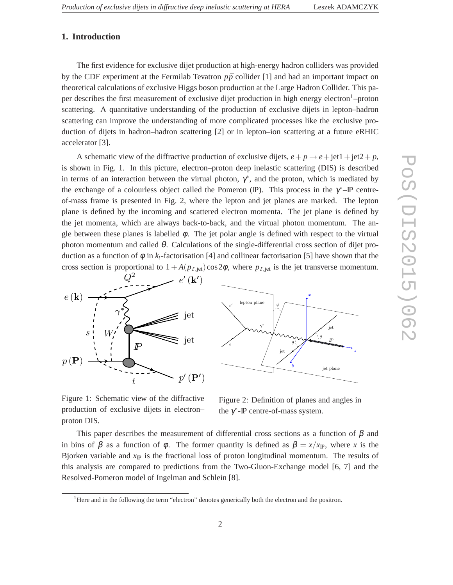## **1. Introduction**

The first evidence for exclusive dijet production at high-energy hadron colliders was provided by the CDF experiment at the Fermilab Tevatron  $p\bar{p}$  collider [1] and had an important impact on theoretical calculations of exclusive Higgs boson production at the Large Hadron Collider. This paper describes the first measurement of exclusive dijet production in high energy electron<sup>1</sup>–proton scattering. A quantitative understanding of the production of exclusive dijets in lepton–hadron scattering can improve the understanding of more complicated processes like the exclusive production of dijets in hadron–hadron scattering [2] or in lepton–ion scattering at a future eRHIC accelerator [3].

A schematic view of the diffractive production of exclusive dijets,  $e + p \rightarrow e + \text{jet1} + \text{jet2} + p$ , is shown in Fig. 1. In this picture, electron–proton deep inelastic scattering (DIS) is described in terms of an interaction between the virtual photon,  $\gamma^*$ , and the proton, which is mediated by the exchange of a colourless object called the Pomeron (IP). This process in the  $\gamma^*$ -IP centreof-mass frame is presented in Fig. 2, where the lepton and jet planes are marked. The lepton plane is defined by the incoming and scattered electron momenta. The jet plane is defined by the jet momenta, which are always back-to-back, and the virtual photon momentum. The angle between these planes is labelled  $\phi$ . The jet polar angle is defined with respect to the virtual photon momentum and called  $θ$ . Calculations of the single-differential cross section of dijet production as a function of  $\phi$  in  $k_t$ -factorisation [4] and collinear factorisation [5] have shown that the cross section is proportional to  $1 + A(p_{T,jet})\cos 2\phi$ , where  $p_{T,jet}$  is the jet transverse momentum.



Figure 1: Schematic view of the diffractive production of exclusive dijets in electron– proton DIS.

Figure 2: Definition of planes and angles in the  $\gamma^*$ -IP centre-of-mass system.

This paper describes the measurement of differential cross sections as a function of  $\beta$  and in bins of  $\beta$  as a function of  $\phi$ . The former quantity is defined as  $\beta = x/x_{\rm F}$ , where *x* is the Bjorken variable and  $x_{\text{IP}}$  is the fractional loss of proton longitudinal momentum. The results of this analysis are compared to predictions from the Two-Gluon-Exchange model [6, 7] and the Resolved-Pomeron model of Ingelman and Schlein [8].

2

<sup>&</sup>lt;sup>1</sup>Here and in the following the term "electron" denotes generically both the electron and the positron.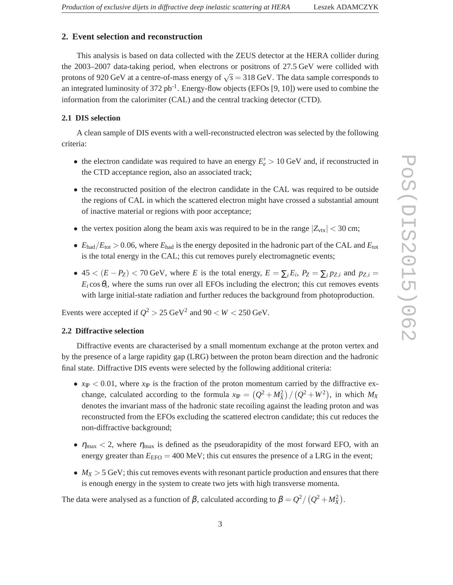### **2. Event selection and reconstruction**

This analysis is based on data collected with the ZEUS detector at the HERA collider during the 2003–2007 data-taking period, when electrons or positrons of 27.5 GeV were collided with protons of 920 GeV at a centre-of-mass energy of  $\sqrt{s} = 318$  GeV. The data sample corresponds to an integrated luminosity of 372 pb<sup>-1</sup>. Energy-flow objects (EFOs [9, 10]) were used to combine the information from the calorimiter (CAL) and the central tracking detector (CTD).

#### **2.1 DIS selection**

A clean sample of DIS events with a well-reconstructed electron was selected by the following criteria:

- the electron candidate was required to have an energy  $E'_e > 10$  GeV and, if reconstructed in the CTD acceptance region, also an associated track;
- the reconstructed position of the electron candidate in the CAL was required to be outside the regions of CAL in which the scattered electron might have crossed a substantial amount of inactive material or regions with poor acceptance;
- the vertex position along the beam axis was required to be in the range  $|Z_{\text{vtx}}| < 30 \text{ cm}$ ;
- $E_{\text{had}}/E_{\text{tot}} > 0.06$ , where  $E_{\text{had}}$  is the energy deposited in the hadronic part of the CAL and  $E_{\text{tot}}$ is the total energy in the CAL; this cut removes purely electromagnetic events;
- 45 <  $(E P_Z)$  < 70 GeV, where *E* is the total energy,  $E = \sum_i E_i$ ,  $P_Z = \sum_i p_{Z,i}$  and  $p_{Z,i}$  $E_i$  cos $\theta_i$ , where the sums run over all EFOs including the electron; this cut removes events with large initial-state radiation and further reduces the background from photoproduction.

Events were accepted if  $Q^2 > 25 \text{ GeV}^2$  and  $90 < W < 250 \text{ GeV}$ .

#### **2.2 Diffractive selection**

Diffractive events are characterised by a small momentum exchange at the proton vertex and by the presence of a large rapidity gap (LRG) between the proton beam direction and the hadronic final state. Diffractive DIS events were selected by the following additional criteria:

- $x_{\text{IP}} < 0.01$ , where  $x_{\text{IP}}$  is the fraction of the proton momentum carried by the diffractive exchange, calculated according to the formula  $x_{\text{IP}} = (Q^2 + M_X^2) / (Q^2 + W^2)$ , in which  $M_X$ denotes the invariant mass of the hadronic state recoiling against the leading proton and was reconstructed from the EFOs excluding the scattered electron candidate; this cut reduces the non-diffractive background;
- $\eta_{\text{max}}$  < 2, where  $\eta_{\text{max}}$  is defined as the pseudorapidity of the most forward EFO, with an energy greater than  $E_{EFO} = 400$  MeV; this cut ensures the presence of a LRG in the event;
- $M_X > 5$  GeV; this cut removes events with resonant particle production and ensures that there is enough energy in the system to create two jets with high transverse momenta.

The data were analysed as a function of  $β$ , calculated according to  $β = Q^2 / (Q^2 + M_X^2)$ .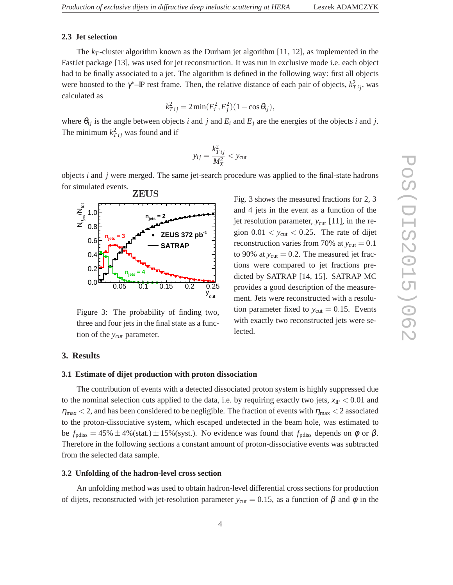# **2.3 Jet selection**

The  $k_T$ -cluster algorithm known as the Durham jet algorithm [11, 12], as implemented in the FastJet package [13], was used for jet reconstruction. It was run in exclusive mode i.e. each object had to be finally associated to a jet. The algorithm is defined in the following way: first all objects were boosted to the  $\gamma^*$ -*IP* rest frame. Then, the relative distance of each pair of objects,  $k_{Tij}^2$ , was calculated as

$$
k_{Tij}^2 = 2\min(E_i^2, E_j^2)(1 - \cos\theta_{ij}),
$$

where  $\theta_{ij}$  is the angle between objects *i* and *j* and  $E_i$  and  $E_j$  are the energies of the objects *i* and *j*. The minimum  $k_{Tij}^2$  was found and if

$$
y_{ij} = \frac{k_{Tij}^2}{M_X^2} < y_{\text{cut}}
$$

objects *i* and *j* were merged. The same jet-search procedure was applied to the final-state hadrons for simulated events.



Figure 3: The probability of finding two, three and four jets in the final state as a function of the *ycut* parameter.

Fig. 3 shows the measured fractions for 2, 3 and 4 jets in the event as a function of the jet resolution parameter,  $y_{\text{cut}}$  [11], in the region  $0.01 < y_{\text{cut}} < 0.25$ . The rate of dijet reconstruction varies from 70% at  $y_{\text{cut}} = 0.1$ to 90% at  $y_{\text{cut}} = 0.2$ . The measured jet fractions were compared to jet fractions predicted by SATRAP [14, 15]. SATRAP MC provides a good description of the measurement. Jets were reconstructed with a resolution parameter fixed to  $y_{\text{cut}} = 0.15$ . Events with exactly two reconstructed jets were selected.

#### **3. Results**

#### **3.1 Estimate of dijet production with proton dissociation**

The contribution of events with a detected dissociated proton system is highly suppressed due to the nominal selection cuts applied to the data, i.e. by requiring exactly two jets,  $x_{\text{IP}} < 0.01$  and  $\eta_{\text{max}}$  < 2, and has been considered to be negligible. The fraction of events with  $\eta_{\text{max}}$  < 2 associated to the proton-dissociative system, which escaped undetected in the beam hole, was estimated to be  $f_{\text{pdiss}} = 45\% \pm 4\%$  (stat.)  $\pm 15\%$  (syst.). No evidence was found that  $f_{\text{pdiss}}$  depends on  $\phi$  or  $\beta$ . Therefore in the following sections a constant amount of proton-dissociative events was subtracted from the selected data sample.

#### **3.2 Unfolding of the hadron-level cross section**

An unfolding method was used to obtain hadron-level differential cross sections for production of dijets, reconstructed with jet-resolution parameter  $y_{\text{cut}} = 0.15$ , as a function of  $\beta$  and  $\phi$  in the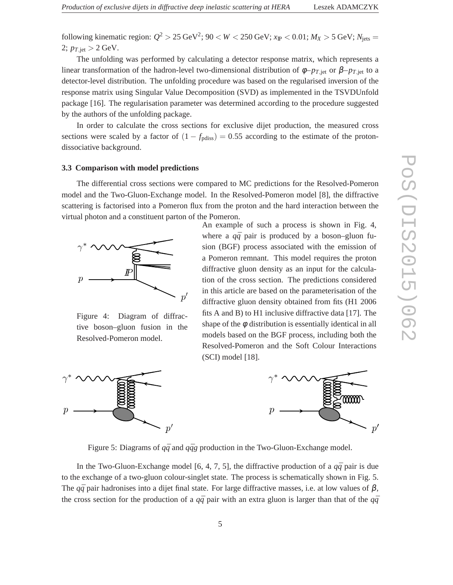following kinematic region:  $Q^2 > 25 \text{ GeV}^2$ ;  $90 < W < 250 \text{ GeV}$ ;  $x_{\text{IP}} < 0.01$ ;  $M_X > 5 \text{ GeV}$ ;  $N_{\text{jets}} =$ 2;  $p_{T,\text{jet}} > 2 \text{ GeV}.$ 

The unfolding was performed by calculating a detector response matrix, which represents a linear transformation of the hadron-level two-dimensional distribution of  $\phi - p_{T,\text{jet}}$  or  $\beta - p_{T,\text{jet}}$  to a detector-level distribution. The unfolding procedure was based on the regularised inversion of the response matrix using Singular Value Decomposition (SVD) as implemented in the TSVDUnfold package [16]. The regularisation parameter was determined according to the procedure suggested by the authors of the unfolding package.

In order to calculate the cross sections for exclusive dijet production, the measured cross sections were scaled by a factor of  $(1 - f_{\text{pdiss}}) = 0.55$  according to the estimate of the protondissociative background.

#### **3.3 Comparison with model predictions**

The differential cross sections were compared to MC predictions for the Resolved-Pomeron model and the Two-Gluon-Exchange model. In the Resolved-Pomeron model [8], the diffractive scattering is factorised into a Pomeron flux from the proton and the hard interaction between the virtual photon and a constituent parton of the Pomeron.



Figure 4: Diagram of diffractive boson–gluon fusion in the Resolved-Pomeron model.







Figure 5: Diagrams of  $q\bar{q}$  and  $q\bar{q}g$  production in the Two-Gluon-Exchange model.

In the Two-Gluon-Exchange model [6, 4, 7, 5], the diffractive production of a  $q\bar{q}$  pair is due to the exchange of a two-gluon colour-singlet state. The process is schematically shown in Fig. 5. The  $q\bar{q}$  pair hadronises into a dijet final state. For large diffractive masses, i.e. at low values of  $\beta$ , the cross section for the production of a  $q\bar{q}$  pair with an extra gluon is larger than that of the  $q\bar{q}$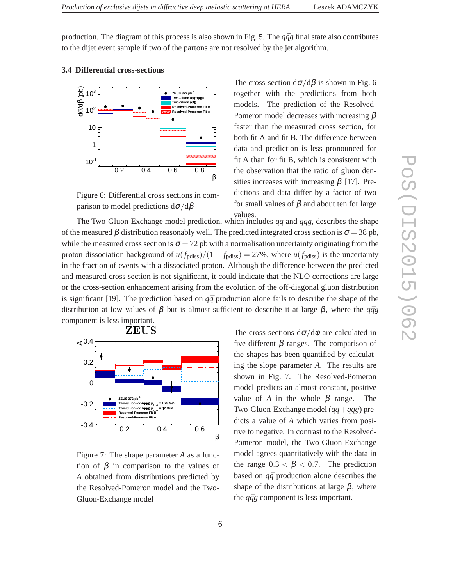production. The diagram of this process is also shown in Fig. 5. The  $q\bar{q}g$  final state also contributes to the dijet event sample if two of the partons are not resolved by the jet algorithm.





Figure 6: Differential cross sections in comparison to model predictions  $d\sigma/d\beta$ 

The cross-section  $d\sigma/d\beta$  is shown in Fig. 6 together with the predictions from both models. The prediction of the Resolved-Pomeron model decreases with increasing β faster than the measured cross section, for both fit A and fit B. The difference between data and prediction is less pronounced for fit A than for fit B, which is consistent with the observation that the ratio of gluon densities increases with increasing  $\beta$  [17]. Predictions and data differ by a factor of two for small values of  $\beta$  and about ten for large values.

The Two-Gluon-Exchange model prediction, which includes  $q\bar{q}$  and  $q\bar{q}g$ , describes the shape of the measured  $\beta$  distribution reasonably well. The predicted integrated cross section is  $\sigma = 38$  pb, while the measured cross section is  $\sigma = 72$  pb with a normalisation uncertainty originating from the proton-dissociation background of  $u(f_{\text{pdiss}})/(1 - f_{\text{pdiss}}) = 27\%$ , where  $u(f_{\text{pdiss}})$  is the uncertainty in the fraction of events with a dissociated proton. Although the difference between the predicted and measured cross section is not significant, it could indicate that the NLO corrections are large or the cross-section enhancement arising from the evolution of the off-diagonal gluon distribution is significant [19]. The prediction based on  $q\bar{q}$  production alone fails to describe the shape of the distribution at low values of β but is almost sufficient to describe it at large β, where the  $q\bar{q}g$ component is less important.



Figure 7: The shape parameter *A* as a function of  $\beta$  in comparison to the values of *A* obtained from distributions predicted by the Resolved-Pomeron model and the Two-Gluon-Exchange model

The cross-sections  $d\sigma/d\phi$  are calculated in five different  $β$  ranges. The comparison of the shapes has been quantified by calculating the slope parameter *A*. The results are shown in Fig. 7. The Resolved-Pomeron model predicts an almost constant, positive value of *A* in the whole  $\beta$  range. The Two-Gluon-Exchange model  $(q\bar{q}+q\bar{q}g)$  predicts a value of *A* which varies from positive to negative. In contrast to the Resolved-Pomeron model, the Two-Gluon-Exchange model agrees quantitatively with the data in the range  $0.3 < \beta < 0.7$ . The prediction based on  $q\bar{q}$  production alone describes the shape of the distributions at large  $\beta$ , where the  $q\bar{q}g$  component is less important.